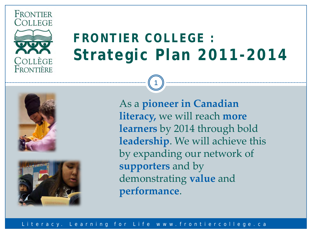

FRONTIER

# **FRONTIER COLLEGE : Strategic Plan 2011-2014**

1





As a **pioneer in Canadian literacy,** we will reach **more learners** by 2014 through bold **leadership**. We will achieve this by expanding our network of **supporters** and by demonstrating **value** and **performance**.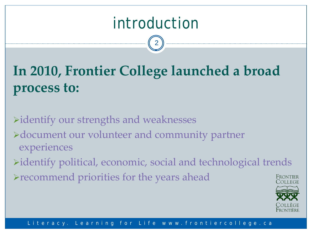# introduction

2

# **In 2010, Frontier College launched a broad process to:**

identify our strengths and weaknesses >document our volunteer and community partner experiences identify political, economic, social and technological trends recommend priorities for the years ahead Frontifr

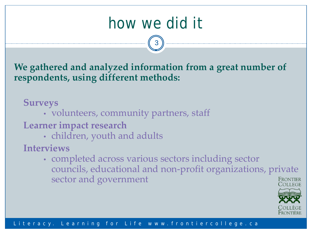# how we did it

3

**We gathered and analyzed information from a great number of respondents, using different methods:**

### **Surveys**

• volunteers, community partners, staff

### **Learner impact research**

• children, youth and adults

### **Interviews**

• completed across various sectors including sector councils, educational and non-profit organizations, private sector and government FRONTIFR

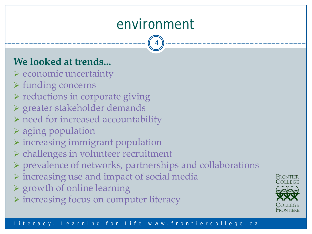## environment

4

## **We looked at trends...**

- $\triangleright$  economic uncertainty
- funding concerns
- $\triangleright$  reductions in corporate giving
- greater stakeholder demands
- $\triangleright$  need for increased accountability
- aging population
- $\triangleright$  increasing immigrant population
- $\triangleright$  challenges in volunteer recruitment
- prevalence of networks, partnerships and collaborations
- $\triangleright$  increasing use and impact of social media
- $\triangleright$  growth of online learning
- $\triangleright$  increasing focus on computer literacy



Frontier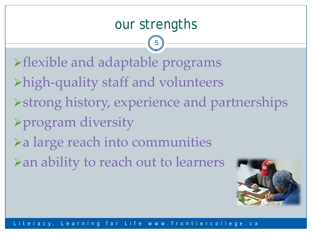## our strengths

5

flexible and adaptable programs high-quality staff and volunteers strong history, experience and partnerships program diversity a large reach into communities an ability to reach out to learners

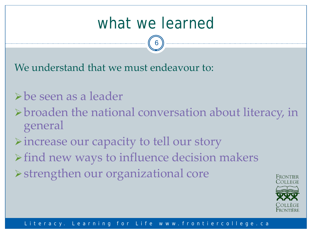# what we learned

6

We understand that we must endeavour to:

## be seen as a leader

- broaden the national conversation about literacy, in general
- increase our capacity to tell our story
- $\triangleright$  find new ways to influence decision makers
- strengthen our organizational core

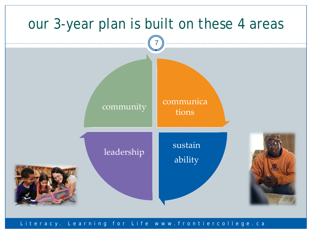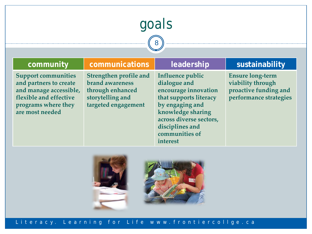# goals

8

### **community communications leadership sustainability**

**Support communities and partners to create and manage accessible, flexible and effective programs where they are most needed**

**Strengthen profile and brand awareness through enhanced storytelling and targeted engagement**

**Influence public dialogue and encourage innovation that supports literacy by engaging and knowledge sharing across diverse sectors, disciplines and communities of interest**

**Ensure long-term viability through proactive funding and performance strategies** 

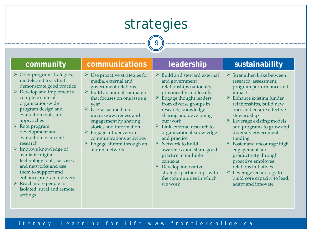# strategies

9

### **community communications leadership sustainability**

- $\triangleright$  Offer program strategies, models and tools that demonstrate good practice
- $\triangleright$  Develop and implement a complete suite of organization-wide program design and evaluation tools and approaches
- Root program development and evaluation in current research
- $\triangleright$  Improve knowledge of available digital technology tools, services and networks and use them to support and enhance program delivery
- $\triangleright$  Reach more people in isolated, rural and remote settings
- $\triangleright$  Use proactive strategies for media, external and government relations
- $\triangleright$  Build an annual campaign that focuses on one issue a year
- $\triangleright$  Use social media to increase awareness and engagement by sharing stories and information
- $\triangleright$  Engage influencers in communications activities
- $\triangleright$  Engage alumni through an alumni network

- $\triangleright$  Build and steward external and government relationships nationally, provincially and locally
- $\triangleright$  Engage thought leaders from diverse groups in research, knowledge sharing and developing our work
- $\triangleright$  Link external research to organizational knowledge and practice
- $\triangleright$  Network to build awareness and share good practice in multiple contexts
- $\triangleright$  Develop innovative strategic partnerships with the communities in which we work

- $\triangleright$  Strengthen links between research, assessment, program performance and impact
- $\triangleright$  Enhance existing funder relationships, build new ones and ensure effective stewardship
- $\triangleright$  Leverage existing models and programs to grow and diversify government funding
- $\triangleright$  Foster and encourage high engagement and productivity through proactive employee relations initiatives
- Leverage technology to build core capacity to lead, adapt and innovate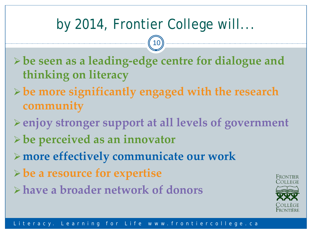# by 2014, Frontier College will...

10

- **be seen as a leading-edge centre for dialogue and thinking on literacy**
- **be more significantly engaged with the research community**
- **enjoy stronger support at all levels of government**
- **be perceived as an innovator**
- **more effectively communicate our work**
- **be a resource for expertise**
- **have a broader network of donors**